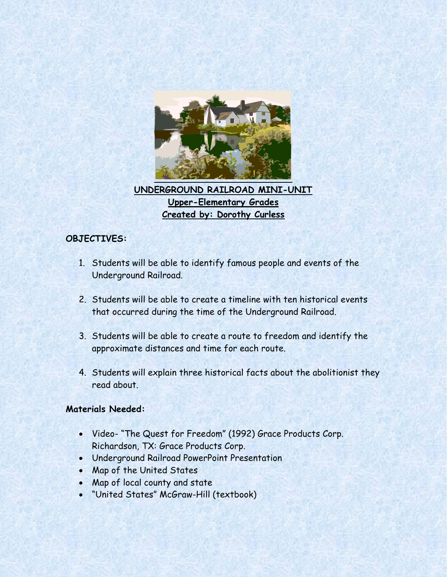

**UNDERGROUND RAILROAD MINI-UNIT Upper-Elementary Grades Created by: Dorothy Curless**

# **OBJECTIVES:**

- 1. Students will be able to identify famous people and events of the Underground Railroad.
- 2. Students will be able to create a timeline with ten historical events that occurred during the time of the Underground Railroad.
- 3. Students will be able to create a route to freedom and identify the approximate distances and time for each route.
- 4. Students will explain three historical facts about the abolitionist they read about.

## **Materials Needed:**

- Video- "The Quest for Freedom" (1992) Grace Products Corp. Richardson, TX: Grace Products Corp.
- Underground Railroad PowerPoint Presentation
- Map of the United States
- Map of local county and state
- "United States" McGraw-Hill (textbook)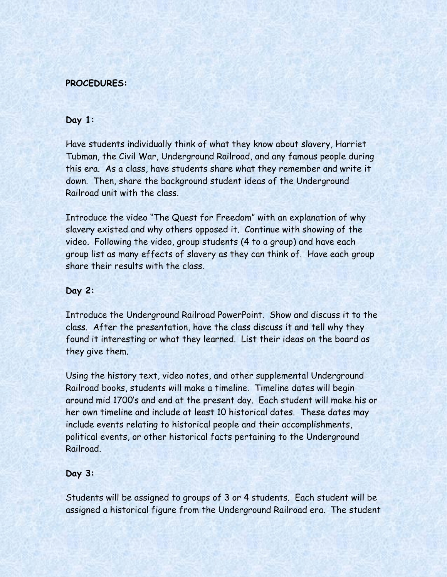## **PROCEDURES:**

## **Day 1:**

Have students individually think of what they know about slavery, Harriet Tubman, the Civil War, Underground Railroad, and any famous people during this era. As a class, have students share what they remember and write it down. Then, share the background student ideas of the Underground Railroad unit with the class.

Introduce the video "The Quest for Freedom" with an explanation of why slavery existed and why others opposed it. Continue with showing of the video. Following the video, group students (4 to a group) and have each group list as many effects of slavery as they can think of. Have each group share their results with the class.

#### **Day 2:**

Introduce the Underground Railroad PowerPoint. Show and discuss it to the class. After the presentation, have the class discuss it and tell why they found it interesting or what they learned. List their ideas on the board as they give them.

Using the history text, video notes, and other supplemental Underground Railroad books, students will make a timeline. Timeline dates will begin around mid 1700's and end at the present day. Each student will make his or her own timeline and include at least 10 historical dates. These dates may include events relating to historical people and their accomplishments, political events, or other historical facts pertaining to the Underground Railroad.

### **Day 3:**

Students will be assigned to groups of 3 or 4 students. Each student will be assigned a historical figure from the Underground Railroad era. The student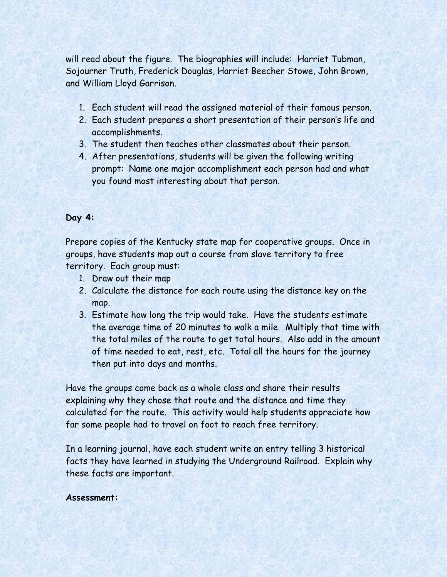will read about the figure. The biographies will include: Harriet Tubman, Sojourner Truth, Frederick Douglas, Harriet Beecher Stowe, John Brown, and William Lloyd Garrison.

- 1. Each student will read the assigned material of their famous person.
- 2. Each student prepares a short presentation of their person's life and accomplishments.
- 3. The student then teaches other classmates about their person.
- 4. After presentations, students will be given the following writing prompt: Name one major accomplishment each person had and what you found most interesting about that person.

## **Day 4:**

Prepare copies of the Kentucky state map for cooperative groups. Once in groups, have students map out a course from slave territory to free territory. Each group must:

- 1. Draw out their map
- 2. Calculate the distance for each route using the distance key on the map.
- 3. Estimate how long the trip would take. Have the students estimate the average time of 20 minutes to walk a mile. Multiply that time with the total miles of the route to get total hours. Also add in the amount of time needed to eat, rest, etc. Total all the hours for the journey then put into days and months.

Have the groups come back as a whole class and share their results explaining why they chose that route and the distance and time they calculated for the route. This activity would help students appreciate how far some people had to travel on foot to reach free territory.

In a learning journal, have each student write an entry telling 3 historical facts they have learned in studying the Underground Railroad. Explain why these facts are important.

#### **Assessment:**